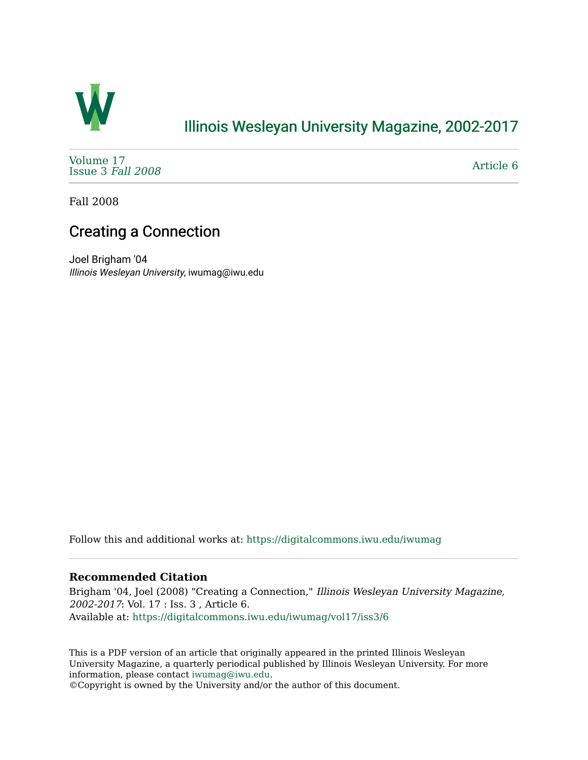

## [Illinois Wesleyan University Magazine, 2002-2017](https://digitalcommons.iwu.edu/iwumag)

[Volume 17](https://digitalcommons.iwu.edu/iwumag/vol17)  [Issue 3](https://digitalcommons.iwu.edu/iwumag/vol17/iss3) Fall 2008

[Article 6](https://digitalcommons.iwu.edu/iwumag/vol17/iss3/6) 

Fall 2008

## Creating a Connection

Joel Brigham '04 Illinois Wesleyan University, iwumag@iwu.edu

Follow this and additional works at: [https://digitalcommons.iwu.edu/iwumag](https://digitalcommons.iwu.edu/iwumag?utm_source=digitalcommons.iwu.edu%2Fiwumag%2Fvol17%2Fiss3%2F6&utm_medium=PDF&utm_campaign=PDFCoverPages) 

### **Recommended Citation**

Brigham '04, Joel (2008) "Creating a Connection," Illinois Wesleyan University Magazine, 2002-2017: Vol. 17 : Iss. 3 , Article 6. Available at: [https://digitalcommons.iwu.edu/iwumag/vol17/iss3/6](https://digitalcommons.iwu.edu/iwumag/vol17/iss3/6?utm_source=digitalcommons.iwu.edu%2Fiwumag%2Fvol17%2Fiss3%2F6&utm_medium=PDF&utm_campaign=PDFCoverPages)

This is a PDF version of an article that originally appeared in the printed Illinois Wesleyan University Magazine, a quarterly periodical published by Illinois Wesleyan University. For more information, please contact [iwumag@iwu.edu](mailto:iwumag@iwu.edu).

©Copyright is owned by the University and/or the author of this document.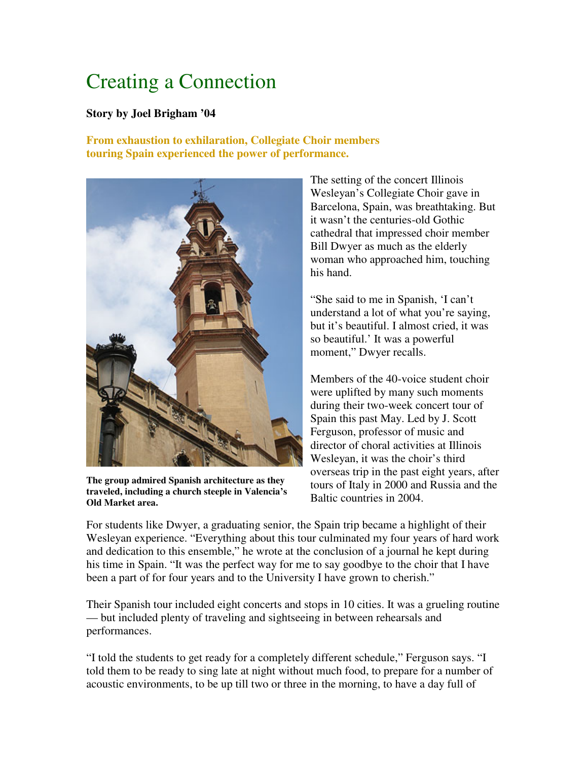# Creating a Connection

#### **Story by Joel Brigham '04**

### **From exhaustion to exhilaration, Collegiate Choir members touring Spain experienced the power of performance.**



**The group admired Spanish architecture as they traveled, including a church steeple in Valencia's Old Market area.**

The setting of the concert Illinois Wesleyan's Collegiate Choir gave in Barcelona, Spain, was breathtaking. But it wasn't the centuries-old Gothic cathedral that impressed choir member Bill Dwyer as much as the elderly woman who approached him, touching his hand.

"She said to me in Spanish, 'I can't understand a lot of what you're saying, but it's beautiful. I almost cried, it was so beautiful.' It was a powerful moment," Dwyer recalls.

Members of the 40-voice student choir were uplifted by many such moments during their two-week concert tour of Spain this past May. Led by J. Scott Ferguson, professor of music and director of choral activities at Illinois Wesleyan, it was the choir's third overseas trip in the past eight years, after tours of Italy in 2000 and Russia and the Baltic countries in 2004.

For students like Dwyer, a graduating senior, the Spain trip became a highlight of their Wesleyan experience. "Everything about this tour culminated my four years of hard work and dedication to this ensemble," he wrote at the conclusion of a journal he kept during his time in Spain. "It was the perfect way for me to say goodbye to the choir that I have been a part of for four years and to the University I have grown to cherish."

Their Spanish tour included eight concerts and stops in 10 cities. It was a grueling routine — but included plenty of traveling and sightseeing in between rehearsals and performances.

"I told the students to get ready for a completely different schedule," Ferguson says. "I told them to be ready to sing late at night without much food, to prepare for a number of acoustic environments, to be up till two or three in the morning, to have a day full of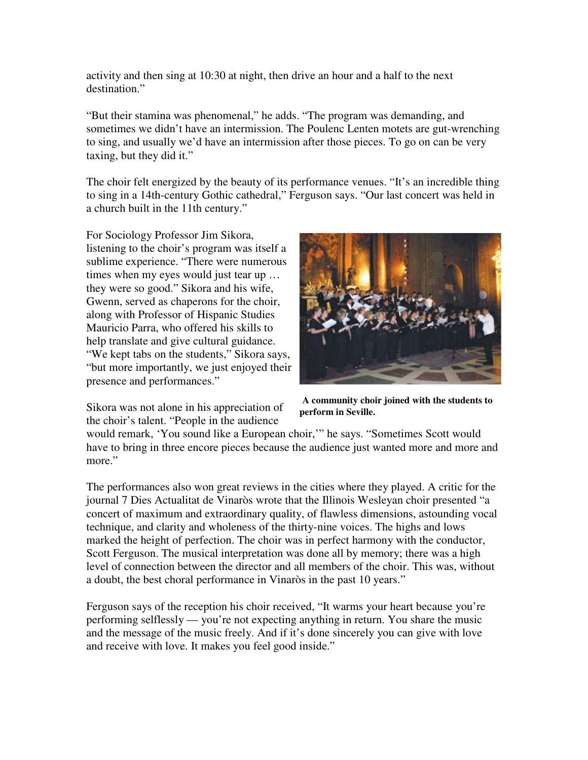activity and then sing at 10:30 at night, then drive an hour and a half to the next destination."

"But their stamina was phenomenal," he adds. "The program was demanding, and sometimes we didn't have an intermission. The Poulenc Lenten motets are gut-wrenching to sing, and usually we'd have an intermission after those pieces. To go on can be very taxing, but they did it."

The choir felt energized by the beauty of its performance venues. "It's an incredible thing to sing in a 14th-century Gothic cathedral," Ferguson says. "Our last concert was held in a church built in the 11th century."

For Sociology Professor Jim Sikora, listening to the choir's program was itself a sublime experience. "There were numerous times when my eyes would just tear up … they were so good." Sikora and his wife, Gwenn, served as chaperons for the choir, along with Professor of Hispanic Studies Mauricio Parra, who offered his skills to help translate and give cultural guidance. "We kept tabs on the students," Sikora says, "but more importantly, we just enjoyed their presence and performances."

Sikora was not alone in his appreciation of the choir's talent. "People in the audience



**A community choir joined with the students to perform in Seville.**

would remark, 'You sound like a European choir,'" he says. "Sometimes Scott would have to bring in three encore pieces because the audience just wanted more and more and more."

The performances also won great reviews in the cities where they played. A critic for the journal 7 Dies Actualitat de Vinaròs wrote that the Illinois Wesleyan choir presented "a concert of maximum and extraordinary quality, of flawless dimensions, astounding vocal technique, and clarity and wholeness of the thirty-nine voices. The highs and lows marked the height of perfection. The choir was in perfect harmony with the conductor, Scott Ferguson. The musical interpretation was done all by memory; there was a high level of connection between the director and all members of the choir. This was, without a doubt, the best choral performance in Vinaròs in the past 10 years."

Ferguson says of the reception his choir received, "It warms your heart because you're performing selflessly — you're not expecting anything in return. You share the music and the message of the music freely. And if it's done sincerely you can give with love and receive with love. It makes you feel good inside."